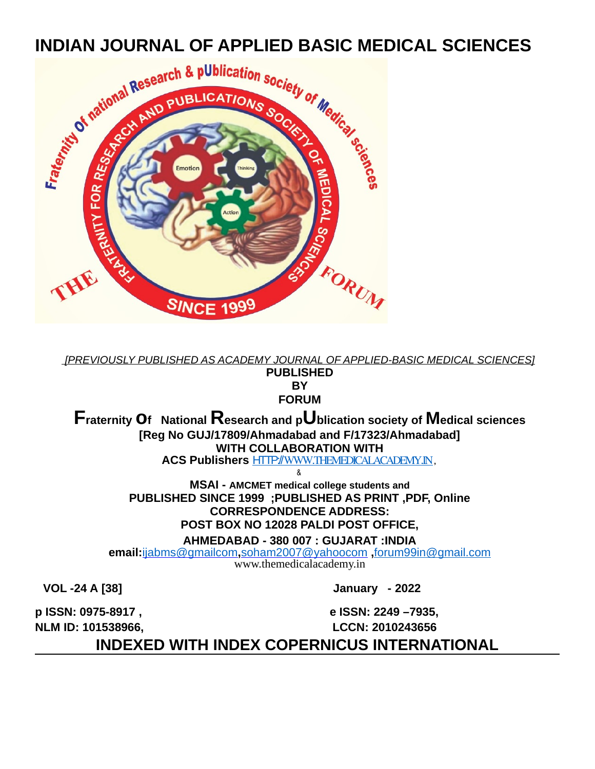

 *[PREVIOUSLY PUBLISHED AS ACADEMY JOURNAL OF APPLIED-BASIC MEDICAL SCIENCES]* **PUBLISHED BY FORUM**

**Fraternity of National Research and pUblication society of Medical sciences [Reg No GUJ/17809/Ahmadabad and F/17323/Ahmadabad] WITH COLLABORATION WITH ACS Publishers** HTTP:// [WWW.THEMEDICALACADEMY.IN,](http://WWW.THEMEDICALACADEMY.IN/)

&

**MSAI - AMCMET medical college students and PUBLISHED SINCE 1999 ;PUBLISHED AS PRINT ,PDF, Online CORRESPONDENCE ADDRESS: POST BOX NO 12028 PALDI POST OFFICE, AHMEDABAD - 380 007 : GUJARAT :INDIA**

**email:**[ijabms@gmailcom](mailto:ijabms@gmail.com)**,**[soham2007@yahoocom](mailto:soham2007@yahoo.com) **,**forum99in@gmail.com www.themedicalacademy.in

**VOL -24 A [38] January - 2022**

**p ISSN: 0975-8917 , e ISSN: 2249 –7935,**

**NLM ID: 101538966, LCCN: 2010243656**

**INDEXED WITH INDEX COPERNICUS INTERNATIONAL**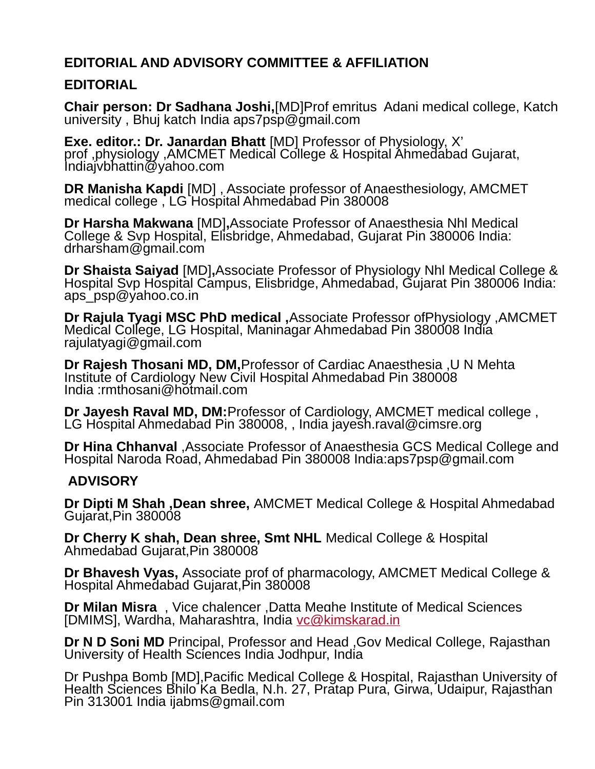## **EDITORIAL AND ADVISORY COMMITTEE & AFFILIATION**

## **EDITORIAL**

**Chair person: Dr Sadhana Joshi,**[MD]Prof emritus Adani medical college, Katch university , Bhuj katch India aps7psp@gmail.com

**Exe. editor.: Dr. Janardan Bhatt** [MD] Professor of Physiology, X' prof ,physiology ,AMCMET Medical College & Hospital Ahmedabad Gujarat, Indiajvbhattin@yahoo.com

**DR Manisha Kapdi** [MD] , Associate professor of Anaesthesiology, AMCMET medical college , LG Hospital Ahmedabad Pin 380008

**Dr Harsha Makwana** [MD]**,**Associate Professor of Anaesthesia Nhl Medical College & Svp Hospital, Elisbridge, Ahmedabad, Gujarat Pin 380006 India: drharsham@gmail.com

**Dr Shaista Saiyad** [MD]**,**Associate Professor of Physiology Nhl Medical College & Hospital Svp Hospital Campus, Elisbridge, Ahmedabad, Gujarat Pin 380006 India: aps psp@yahoo.co.in

**Dr Rajula Tyagi MSC PhD medical ,**Associate Professor ofPhysiology ,AMCMET Medical College, LG Hospital, Maninagar Ahmedabad Pin 380008 India rajulatyagi@gmail.com

**Dr Rajesh Thosani MD, DM,**Professor of Cardiac Anaesthesia ,U N Mehta Institute of Cardiology New Civil Hospital Ahmedabad Pin 380008 India :rmthosani@hotmail.com

**Dr Jayesh Raval MD, DM:**Professor of Cardiology, AMCMET medical college , LG Hospital Ahmedabad Pin 380008, , India jayesh.raval@cimsre.org

**Dr Hina Chhanval** ,Associate Professor of Anaesthesia GCS Medical College and Hospital Naroda Road, Ahmedabad Pin 380008 India:aps7psp@gmail.com

## **ADVISORY**

**Dr Dipti M Shah ,Dean shree,** AMCMET Medical College & Hospital Ahmedabad Gujarat,Pin 380008

**Dr Cherry K shah, Dean shree, Smt NHL** Medical College & Hospital Ahmedabad Gujarat,Pin 380008

**Dr Bhavesh Vyas,** Associate prof of pharmacology, AMCMET Medical College & Hospital Ahmedabad Gujarat,Pin 380008

**Dr Milan Misra** , Vice chalencer ,Datta Meghe Institute of Medical Sciences [DMIMS], Wardha, Maharashtra, India [vc@kimskarad.in](mailto:vc@kimskarad.in)

**Dr N D Soni MD** Principal, Professor and Head ,Gov Medical College, Rajasthan University of Health Sciences India Jodhpur, India

Dr Pushpa Bomb [MD],Pacific Medical College & Hospital, Rajasthan University of Health Sciences Bhilo Ka Bedla, N.h. 27, Pratap Pura, Girwa, Udaipur, Rajasthan Pin 313001 India ijabms@gmail.com